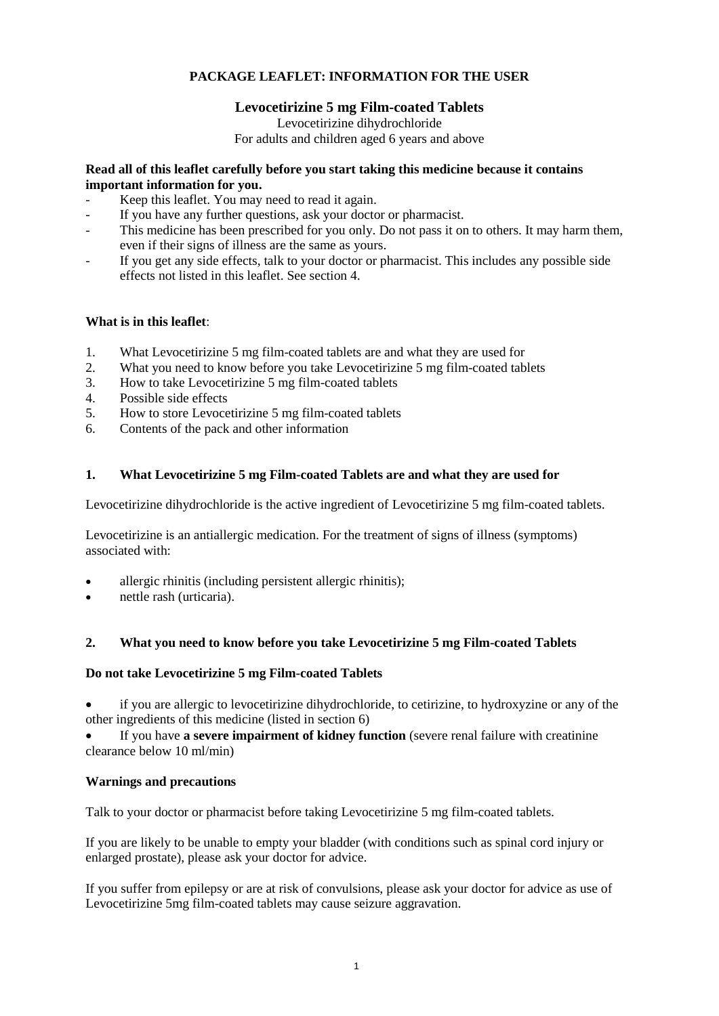# **PACKAGE LEAFLET: INFORMATION FOR THE USER**

# **Levocetirizine 5 mg Film-coated Tablets**

Levocetirizine dihydrochloride For adults and children aged 6 years and above

### **Read all of this leaflet carefully before you start taking this medicine because it contains important information for you.**

- Keep this leaflet. You may need to read it again.
- If you have any further questions, ask your doctor or pharmacist.
- This medicine has been prescribed for you only. Do not pass it on to others. It may harm them, even if their signs of illness are the same as yours.
- If you get any side effects, talk to your doctor or pharmacist. This includes any possible side effects not listed in this leaflet. See section 4.

## **What is in this leaflet**:

- 1. What Levocetirizine 5 mg film-coated tablets are and what they are used for
- 2. What you need to know before you take Levocetirizine 5 mg film-coated tablets
- 3. How to take Levocetirizine 5 mg film-coated tablets
- 4. Possible side effects
- 5. How to store Levocetirizine 5 mg film-coated tablets<br>6. Contents of the pack and other information
- Contents of the pack and other information

## **1. What Levocetirizine 5 mg Film-coated Tablets are and what they are used for**

Levocetirizine dihydrochloride is the active ingredient of Levocetirizine 5 mg film-coated tablets.

Levocetirizine is an antiallergic medication. For the treatment of signs of illness (symptoms) associated with:

- allergic rhinitis (including persistent allergic rhinitis);
- nettle rash (urticaria).

# **2. What you need to know before you take Levocetirizine 5 mg Film-coated Tablets**

### **Do not take Levocetirizine 5 mg Film-coated Tablets**

 if you are allergic to levocetirizine dihydrochloride, to cetirizine, to hydroxyzine or any of the other ingredients of this medicine (listed in section 6)

 If you have **a severe impairment of kidney function** (severe renal failure with creatinine clearance below 10 ml/min)

### **Warnings and precautions**

Talk to your doctor or pharmacist before taking Levocetirizine 5 mg film-coated tablets.

If you are likely to be unable to empty your bladder (with conditions such as spinal cord injury or enlarged prostate), please ask your doctor for advice.

If you suffer from epilepsy or are at risk of convulsions, please ask your doctor for advice as use of Levocetirizine 5mg film-coated tablets may cause seizure aggravation.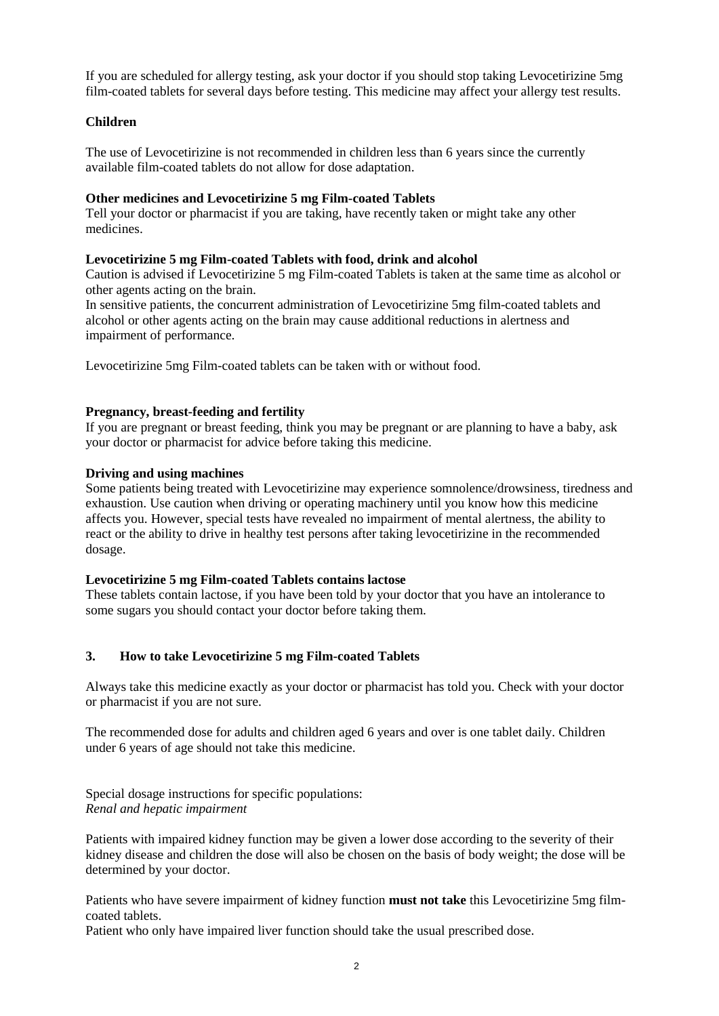If you are scheduled for allergy testing, ask your doctor if you should stop taking Levocetirizine 5mg film-coated tablets for several days before testing. This medicine may affect your allergy test results.

## **Children**

The use of Levocetirizine is not recommended in children less than 6 years since the currently available film-coated tablets do not allow for dose adaptation.

### **Other medicines and Levocetirizine 5 mg Film-coated Tablets**

Tell your doctor or pharmacist if you are taking, have recently taken or might take any other medicines.

### **Levocetirizine 5 mg Film-coated Tablets with food, drink and alcohol**

Caution is advised if Levocetirizine 5 mg Film-coated Tablets is taken at the same time as alcohol or other agents acting on the brain.

In sensitive patients, the concurrent administration of Levocetirizine 5mg film-coated tablets and alcohol or other agents acting on the brain may cause additional reductions in alertness and impairment of performance.

Levocetirizine 5mg Film-coated tablets can be taken with or without food.

#### **Pregnancy, breast-feeding and fertility**

If you are pregnant or breast feeding, think you may be pregnant or are planning to have a baby, ask your doctor or pharmacist for advice before taking this medicine.

#### **Driving and using machines**

Some patients being treated with Levocetirizine may experience somnolence/drowsiness, tiredness and exhaustion. Use caution when driving or operating machinery until you know how this medicine affects you. However, special tests have revealed no impairment of mental alertness, the ability to react or the ability to drive in healthy test persons after taking levocetirizine in the recommended dosage.

### **Levocetirizine 5 mg Film-coated Tablets contains lactose**

These tablets contain lactose, if you have been told by your doctor that you have an intolerance to some sugars you should contact your doctor before taking them.

### **3. How to take Levocetirizine 5 mg Film-coated Tablets**

Always take this medicine exactly as your doctor or pharmacist has told you. Check with your doctor or pharmacist if you are not sure.

The recommended dose for adults and children aged 6 years and over is one tablet daily. Children under 6 years of age should not take this medicine.

Special dosage instructions for specific populations: *Renal and hepatic impairment*

Patients with impaired kidney function may be given a lower dose according to the severity of their kidney disease and children the dose will also be chosen on the basis of body weight; the dose will be determined by your doctor.

Patients who have severe impairment of kidney function **must not take** this Levocetirizine 5mg filmcoated tablets.

Patient who only have impaired liver function should take the usual prescribed dose.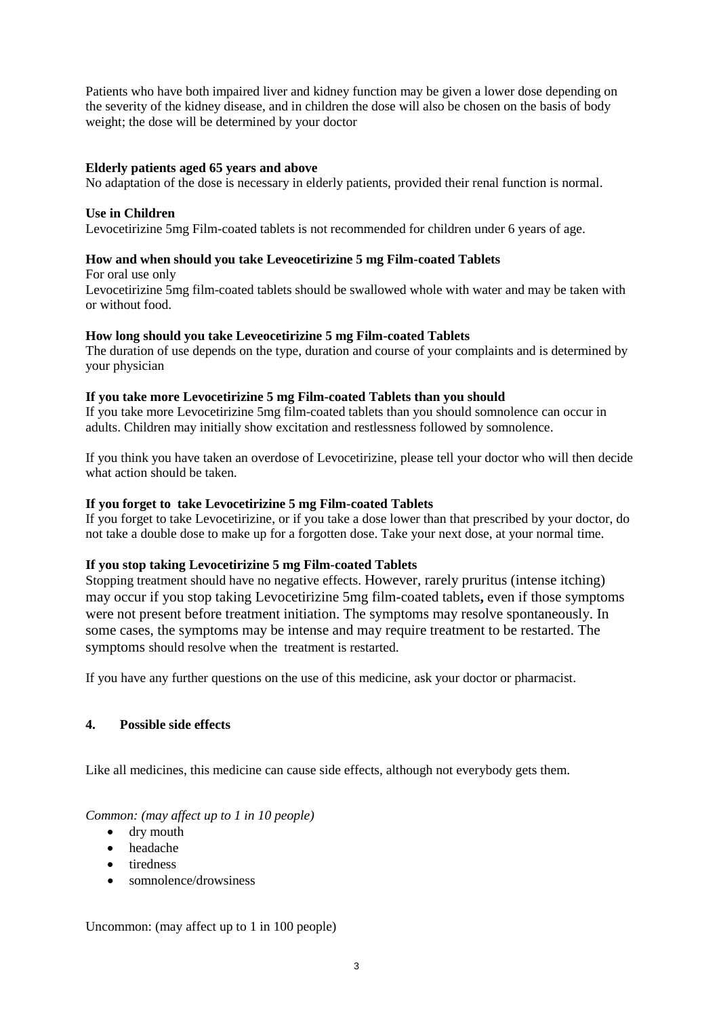Patients who have both impaired liver and kidney function may be given a lower dose depending on the severity of the kidney disease, and in children the dose will also be chosen on the basis of body weight; the dose will be determined by your doctor

### **Elderly patients aged 65 years and above**

No adaptation of the dose is necessary in elderly patients, provided their renal function is normal.

### **Use in Children**

Levocetirizine 5mg Film-coated tablets is not recommended for children under 6 years of age.

## **How and when should you take Leveocetirizine 5 mg Film-coated Tablets**

For oral use only Levocetirizine 5mg film-coated tablets should be swallowed whole with water and may be taken with or without food.

## **How long should you take Leveocetirizine 5 mg Film-coated Tablets**

The duration of use depends on the type, duration and course of your complaints and is determined by your physician

## **If you take more Levocetirizine 5 mg Film-coated Tablets than you should**

If you take more Levocetirizine 5mg film-coated tablets than you should somnolence can occur in adults. Children may initially show excitation and restlessness followed by somnolence.

If you think you have taken an overdose of Levocetirizine, please tell your doctor who will then decide what action should be taken.

### **If you forget to take Levocetirizine 5 mg Film-coated Tablets**

If you forget to take Levocetirizine, or if you take a dose lower than that prescribed by your doctor, do not take a double dose to make up for a forgotten dose. Take your next dose, at your normal time.

### **If you stop taking Levocetirizine 5 mg Film-coated Tablets**

Stopping treatment should have no negative effects. However, rarely pruritus (intense itching) may occur if you stop taking Levocetirizine 5mg film-coated tablets**,** even if those symptoms were not present before treatment initiation. The symptoms may resolve spontaneously. In some cases, the symptoms may be intense and may require treatment to be restarted. The symptoms should resolve when the treatment is restarted.

If you have any further questions on the use of this medicine, ask your doctor or pharmacist.

# **4. Possible side effects**

Like all medicines, this medicine can cause side effects, although not everybody gets them.

# *Common: (may affect up to 1 in 10 people)*

- dry mouth
- headache
- tiredness
- somnolence/drowsiness

Uncommon: (may affect up to 1 in 100 people)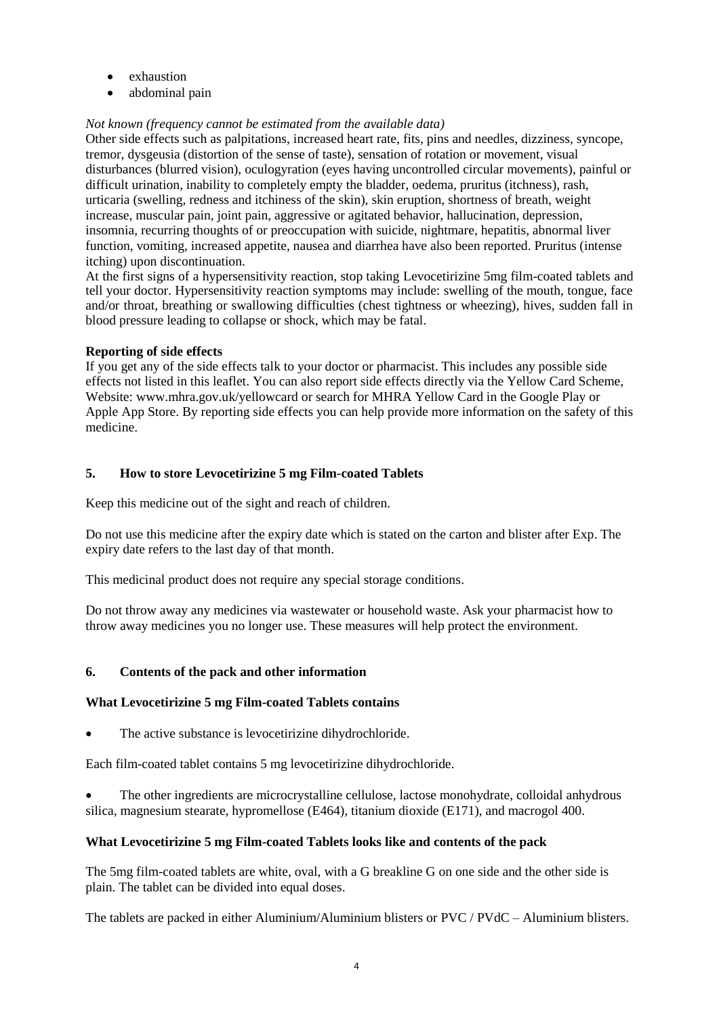- exhaustion
- abdominal pain

## *Not known (frequency cannot be estimated from the available data)*

Other side effects such as palpitations, increased heart rate, fits, pins and needles, dizziness, syncope, tremor, dysgeusia (distortion of the sense of taste), sensation of rotation or movement, visual disturbances (blurred vision), oculogyration (eyes having uncontrolled circular movements), painful or difficult urination, inability to completely empty the bladder, oedema, pruritus (itchness), rash, urticaria (swelling, redness and itchiness of the skin), skin eruption, shortness of breath, weight increase, muscular pain, joint pain, aggressive or agitated behavior, hallucination, depression, insomnia, recurring thoughts of or preoccupation with suicide, nightmare, hepatitis, abnormal liver function, vomiting, increased appetite, nausea and diarrhea have also been reported. Pruritus (intense itching) upon discontinuation.

At the first signs of a hypersensitivity reaction, stop taking Levocetirizine 5mg film-coated tablets and tell your doctor. Hypersensitivity reaction symptoms may include: swelling of the mouth, tongue, face and/or throat, breathing or swallowing difficulties (chest tightness or wheezing), hives, sudden fall in blood pressure leading to collapse or shock, which may be fatal.

### **Reporting of side effects**

If you get any of the side effects talk to your doctor or pharmacist. This includes any possible side effects not listed in this leaflet. You can also report side effects directly via the Yellow Card Scheme, Website[: www.mhra.gov.uk/yellowcard](http://www.mhra.gov.uk/yellowcard) or search for MHRA Yellow Card in the Google Play or Apple App Store. By reporting side effects you can help provide more information on the safety of this medicine.

## **5. How to store Levocetirizine 5 mg Film-coated Tablets**

Keep this medicine out of the sight and reach of children.

Do not use this medicine after the expiry date which is stated on the carton and blister after Exp. The expiry date refers to the last day of that month.

This medicinal product does not require any special storage conditions.

Do not throw away any medicines via wastewater or household waste. Ask your pharmacist how to throw away medicines you no longer use. These measures will help protect the environment.

### **6. Contents of the pack and other information**

# **What Levocetirizine 5 mg Film-coated Tablets contains**

• The active substance is levocetirizine dihydrochloride.

Each film-coated tablet contains 5 mg levocetirizine dihydrochloride.

 The other ingredients are microcrystalline cellulose, lactose monohydrate, colloidal anhydrous silica, magnesium stearate, hypromellose (E464), titanium dioxide (E171), and macrogol 400.

### **What Levocetirizine 5 mg Film-coated Tablets looks like and contents of the pack**

The 5mg film-coated tablets are white, oval, with a G breakline G on one side and the other side is plain. The tablet can be divided into equal doses.

The tablets are packed in either Aluminium/Aluminium blisters or PVC / PVdC – Aluminium blisters.